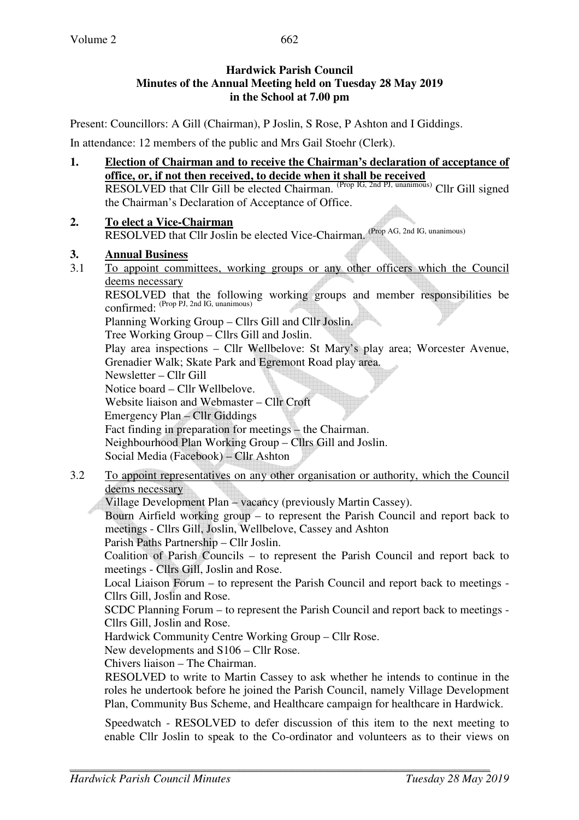Present: Councillors: A Gill (Chairman), P Joslin, S Rose, P Ashton and I Giddings.

In attendance: 12 members of the public and Mrs Gail Stoehr (Clerk).

- **1. Election of Chairman and to receive the Chairman's declaration of acceptance of office, or, if not then received, to decide when it shall be received** RESOLVED that Cllr Gill be elected Chairman. <sup>(Prop IG, 2nd PJ, unanimous)</sup> Cllr Gill signed the Chairman's Declaration of Acceptance of Office.
- **2. To elect a Vice-Chairman** RESOLVED that Cllr Joslin be elected Vice-Chairman. (Prop AG, 2nd IG, unanimous)
- **3. Annual Business**
- 3.1 To appoint committees, working groups or any other officers which the Council deems necessary

 RESOLVED that the following working groups and member responsibilities be confirmed: <sup>(Prop PJ, 2nd IG, unanimous)</sup>

Planning Working Group – Cllrs Gill and Cllr Joslin.

Tree Working Group – Cllrs Gill and Joslin.

Play area inspections – Cllr Wellbelove: St Mary's play area; Worcester Avenue, Grenadier Walk; Skate Park and Egremont Road play area.

Newsletter – Cllr Gill

Notice board – Cllr Wellbelove.

Website liaison and Webmaster – Cllr Croft Emergency Plan – Cllr Giddings Fact finding in preparation for meetings – the Chairman. Neighbourhood Plan Working Group – Cllrs Gill and Joslin.

Social Media (Facebook) – Cllr Ashton

3.2 To appoint representatives on any other organisation or authority, which the Council deems necessary

Village Development Plan – vacancy (previously Martin Cassey).

Bourn Airfield working group – to represent the Parish Council and report back to meetings - Cllrs Gill, Joslin, Wellbelove, Cassey and Ashton

Parish Paths Partnership – Cllr Joslin.

Coalition of Parish Councils – to represent the Parish Council and report back to meetings - Cllrs Gill, Joslin and Rose.

Local Liaison Forum – to represent the Parish Council and report back to meetings - Cllrs Gill, Joslin and Rose.

SCDC Planning Forum – to represent the Parish Council and report back to meetings - Cllrs Gill, Joslin and Rose.

Hardwick Community Centre Working Group – Cllr Rose.

New developments and S106 – Cllr Rose.

Chivers liaison – The Chairman.

RESOLVED to write to Martin Cassey to ask whether he intends to continue in the roles he undertook before he joined the Parish Council, namely Village Development Plan, Community Bus Scheme, and Healthcare campaign for healthcare in Hardwick.

Speedwatch - RESOLVED to defer discussion of this item to the next meeting to enable Cllr Joslin to speak to the Co-ordinator and volunteers as to their views on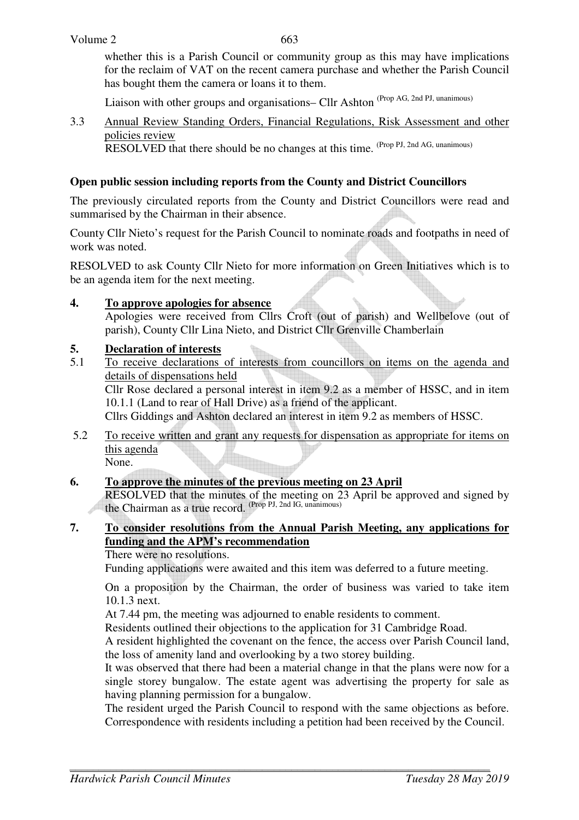663

whether this is a Parish Council or community group as this may have implications for the reclaim of VAT on the recent camera purchase and whether the Parish Council has bought them the camera or loans it to them.

Liaison with other groups and organisations– Cllr Ashton (Prop AG, 2nd PJ, unanimous)

3.3 Annual Review Standing Orders, Financial Regulations, Risk Assessment and other policies review

RESOLVED that there should be no changes at this time. (Prop PJ, 2nd AG, unanimous)

#### **Open public session including reports from the County and District Councillors**

The previously circulated reports from the County and District Councillors were read and summarised by the Chairman in their absence.

County Cllr Nieto's request for the Parish Council to nominate roads and footpaths in need of work was noted.

RESOLVED to ask County Cllr Nieto for more information on Green Initiatives which is to be an agenda item for the next meeting.

#### **4. To approve apologies for absence**

Apologies were received from Cllrs Croft (out of parish) and Wellbelove (out of parish), County Cllr Lina Nieto, and District Cllr Grenville Chamberlain

#### **5. Declaration of interests**

5.1 To receive declarations of interests from councillors on items on the agenda and details of dispensations held

Cllr Rose declared a personal interest in item 9.2 as a member of HSSC, and in item 10.1.1 (Land to rear of Hall Drive) as a friend of the applicant.

Cllrs Giddings and Ashton declared an interest in item 9.2 as members of HSSC.

5.2 To receive written and grant any requests for dispensation as appropriate for items on this agenda

None.

#### **6. To approve the minutes of the previous meeting on 23 April**

 RESOLVED that the minutes of the meeting on 23 April be approved and signed by the Chairman as a true record. (Prop PJ, 2nd IG, unanimous)

## **7. To consider resolutions from the Annual Parish Meeting, any applications for funding and the APM's recommendation**

There were no resolutions.

Funding applications were awaited and this item was deferred to a future meeting.

 On a proposition by the Chairman, the order of business was varied to take item 10.1.3 next.

At 7.44 pm, the meeting was adjourned to enable residents to comment.

Residents outlined their objections to the application for 31 Cambridge Road.

A resident highlighted the covenant on the fence, the access over Parish Council land, the loss of amenity land and overlooking by a two storey building.

 It was observed that there had been a material change in that the plans were now for a single storey bungalow. The estate agent was advertising the property for sale as having planning permission for a bungalow.

 The resident urged the Parish Council to respond with the same objections as before. Correspondence with residents including a petition had been received by the Council.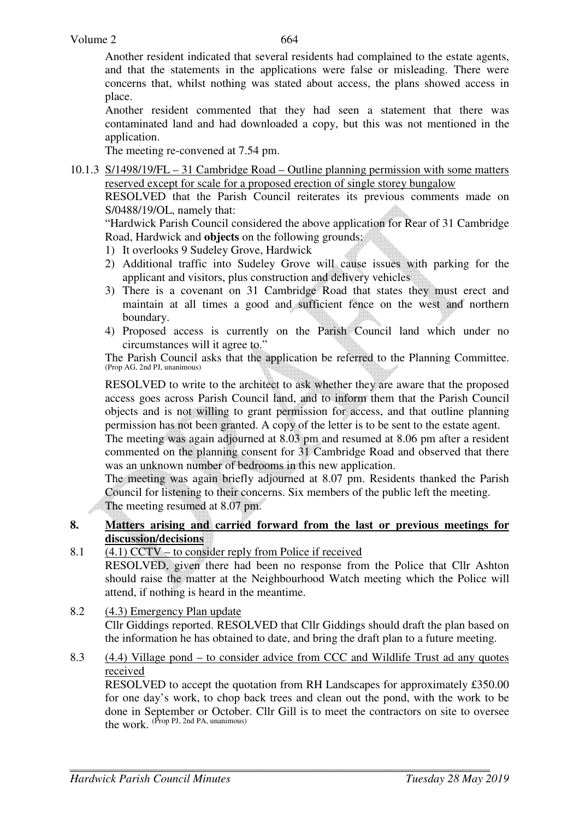Another resident indicated that several residents had complained to the estate agents, and that the statements in the applications were false or misleading. There were concerns that, whilst nothing was stated about access, the plans showed access in place.

 Another resident commented that they had seen a statement that there was contaminated land and had downloaded a copy, but this was not mentioned in the application.

The meeting re-convened at 7.54 pm.

10.1.3 S/1498/19/FL – 31 Cambridge Road – Outline planning permission with some matters reserved except for scale for a proposed erection of single storey bungalow

 RESOLVED that the Parish Council reiterates its previous comments made on S/0488/19/OL, namely that:

"Hardwick Parish Council considered the above application for Rear of 31 Cambridge Road, Hardwick and **objects** on the following grounds:

- 1) It overlooks 9 Sudeley Grove, Hardwick
- 2) Additional traffic into Sudeley Grove will cause issues with parking for the applicant and visitors, plus construction and delivery vehicles
- 3) There is a covenant on 31 Cambridge Road that states they must erect and maintain at all times a good and sufficient fence on the west and northern boundary.
- 4) Proposed access is currently on the Parish Council land which under no circumstances will it agree to."

The Parish Council asks that the application be referred to the Planning Committee. (Prop AG, 2nd PJ, unanimous)

RESOLVED to write to the architect to ask whether they are aware that the proposed access goes across Parish Council land, and to inform them that the Parish Council objects and is not willing to grant permission for access, and that outline planning permission has not been granted. A copy of the letter is to be sent to the estate agent.

The meeting was again adjourned at 8.03 pm and resumed at 8.06 pm after a resident commented on the planning consent for 31 Cambridge Road and observed that there was an unknown number of bedrooms in this new application.

The meeting was again briefly adjourned at 8.07 pm. Residents thanked the Parish Council for listening to their concerns. Six members of the public left the meeting. The meeting resumed at 8.07 pm.

#### **8. Matters arising and carried forward from the last or previous meetings for discussion/decisions**

8.1  $(4.1)$  CCTV – to consider reply from Police if received

 RESOLVED, given there had been no response from the Police that Cllr Ashton should raise the matter at the Neighbourhood Watch meeting which the Police will attend, if nothing is heard in the meantime.

- 8.2 (4.3) Emergency Plan update Cllr Giddings reported. RESOLVED that Cllr Giddings should draft the plan based on the information he has obtained to date, and bring the draft plan to a future meeting.
- 8.3 (4.4) Village pond to consider advice from CCC and Wildlife Trust ad any quotes received

RESOLVED to accept the quotation from RH Landscapes for approximately £350.00 for one day's work, to chop back trees and clean out the pond, with the work to be done in September or October. Cllr Gill is to meet the contractors on site to oversee the work. (Prop PJ, 2nd PA, unanimous)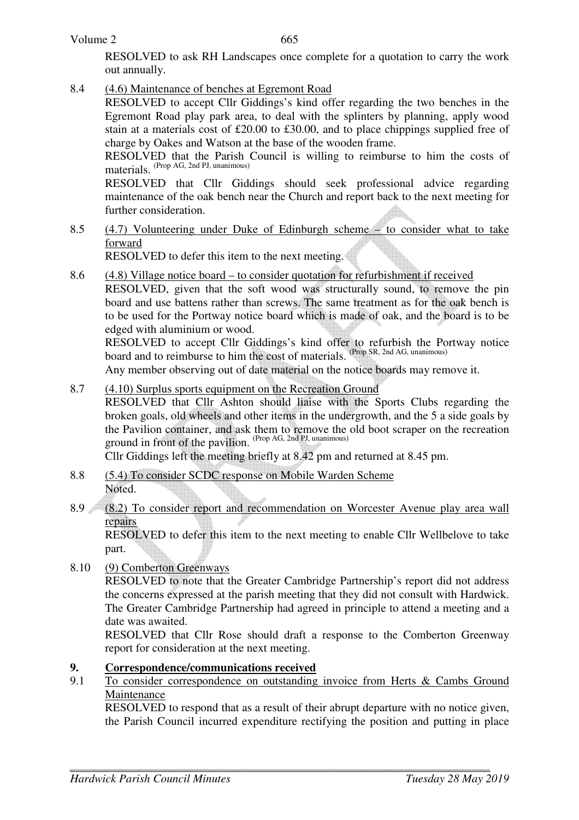665

RESOLVED to ask RH Landscapes once complete for a quotation to carry the work out annually.

8.4 (4.6) Maintenance of benches at Egremont Road

RESOLVED to accept Cllr Giddings's kind offer regarding the two benches in the Egremont Road play park area, to deal with the splinters by planning, apply wood stain at a materials cost of £20.00 to £30.00, and to place chippings supplied free of charge by Oakes and Watson at the base of the wooden frame.

RESOLVED that the Parish Council is willing to reimburse to him the costs of materials. (Prop AG, 2nd PJ, unanimous)

RESOLVED that Cllr Giddings should seek professional advice regarding maintenance of the oak bench near the Church and report back to the next meeting for further consideration.

8.5 (4.7) Volunteering under Duke of Edinburgh scheme – to consider what to take forward

RESOLVED to defer this item to the next meeting.

8.6 (4.8) Village notice board – to consider quotation for refurbishment if received

RESOLVED, given that the soft wood was structurally sound, to remove the pin board and use battens rather than screws. The same treatment as for the oak bench is to be used for the Portway notice board which is made of oak, and the board is to be edged with aluminium or wood.

RESOLVED to accept Cllr Giddings's kind offer to refurbish the Portway notice board and to reimburse to him the cost of materials. (Prop SR, 2nd AG, unanimous)

Any member observing out of date material on the notice boards may remove it.

8.7 (4.10) Surplus sports equipment on the Recreation Ground

RESOLVED that Cllr Ashton should liaise with the Sports Clubs regarding the broken goals, old wheels and other items in the undergrowth, and the 5 a side goals by the Pavilion container, and ask them to remove the old boot scraper on the recreation ground in front of the pavilion. (Prop AG, 2nd PJ, unanimous)

Cllr Giddings left the meeting briefly at 8.42 pm and returned at 8.45 pm.

- 8.8 (5.4) To consider SCDC response on Mobile Warden Scheme Noted.
- 8.9 (8.2) To consider report and recommendation on Worcester Avenue play area wall repairs

 RESOLVED to defer this item to the next meeting to enable Cllr Wellbelove to take part.

8.10 (9) Comberton Greenways

 RESOLVED to note that the Greater Cambridge Partnership's report did not address the concerns expressed at the parish meeting that they did not consult with Hardwick. The Greater Cambridge Partnership had agreed in principle to attend a meeting and a date was awaited.

RESOLVED that Cllr Rose should draft a response to the Comberton Greenway report for consideration at the next meeting.

#### **9. Correspondence/communications received**

9.1 To consider correspondence on outstanding invoice from Herts & Cambs Ground Maintenance

 RESOLVED to respond that as a result of their abrupt departure with no notice given, the Parish Council incurred expenditure rectifying the position and putting in place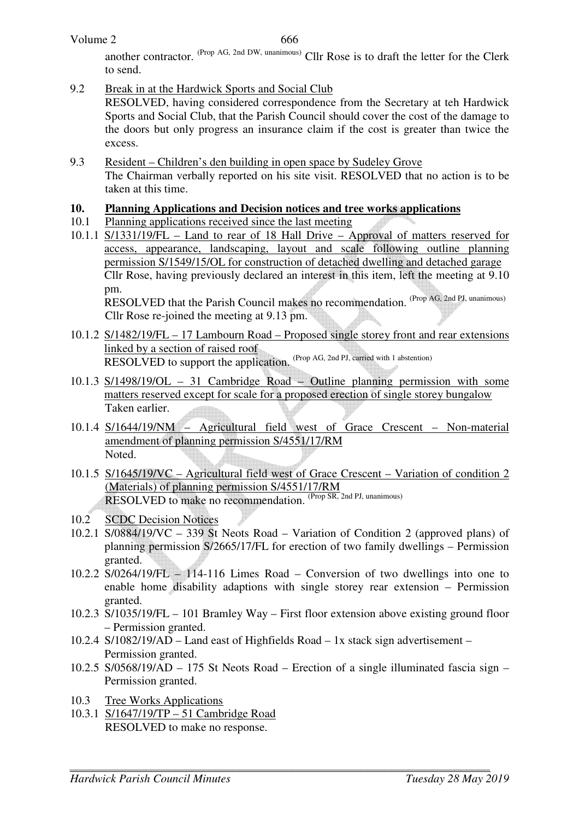666

another contractor. (Prop AG, 2nd DW, unanimous) Cllr Rose is to draft the letter for the Clerk to send.

9.2 Break in at the Hardwick Sports and Social Club

 RESOLVED, having considered correspondence from the Secretary at teh Hardwick Sports and Social Club, that the Parish Council should cover the cost of the damage to the doors but only progress an insurance claim if the cost is greater than twice the excess.

9.3 Resident – Children's den building in open space by Sudeley Grove The Chairman verbally reported on his site visit. RESOLVED that no action is to be taken at this time.

### **10. Planning Applications and Decision notices and tree works applications**

10.1 Planning applications received since the last meeting

10.1.1 S/1331/19/FL – Land to rear of 18 Hall Drive – Approval of matters reserved for access, appearance, landscaping, layout and scale following outline planning permission S/1549/15/OL for construction of detached dwelling and detached garage Cllr Rose, having previously declared an interest in this item, left the meeting at 9.10 pm. RESOLVED that the Parish Council makes no recommendation. (Prop AG, 2nd PJ, unanimous)

Cllr Rose re-joined the meeting at 9.13 pm.

- 10.1.2 S/1482/19/FL 17 Lambourn Road Proposed single storey front and rear extensions linked by a section of raised roof RESOLVED to support the application. (Prop AG, 2nd PJ, carried with 1 abstention)
- 10.1.3 S/1498/19/OL 31 Cambridge Road Outline planning permission with some matters reserved except for scale for a proposed erection of single storey bungalow Taken earlier.
- 10.1.4 S/1644/19/NM Agricultural field west of Grace Crescent Non-material amendment of planning permission S/4551/17/RM Noted.
- 10.1.5 S/1645/19/VC Agricultural field west of Grace Crescent Variation of condition 2 (Materials) of planning permission S/4551/17/RM RESOLVED to make no recommendation. (Prop SR, 2nd PJ, unanimous)
- 10.2 SCDC Decision Notices
- 10.2.1 S/0884/19/VC 339 St Neots Road Variation of Condition 2 (approved plans) of planning permission S/2665/17/FL for erection of two family dwellings – Permission granted.
- 10.2.2 S/0264/19/FL 114-116 Limes Road Conversion of two dwellings into one to enable home disability adaptions with single storey rear extension – Permission granted.
- 10.2.3 S/1035/19/FL 101 Bramley Way First floor extension above existing ground floor – Permission granted.
- 10.2.4 S/1082/19/AD Land east of Highfields Road 1x stack sign advertisement Permission granted.
- 10.2.5 S/0568/19/AD 175 St Neots Road Erection of a single illuminated fascia sign Permission granted.
- 10.3 Tree Works Applications
- 10.3.1 S/1647/19/TP 51 Cambridge Road RESOLVED to make no response.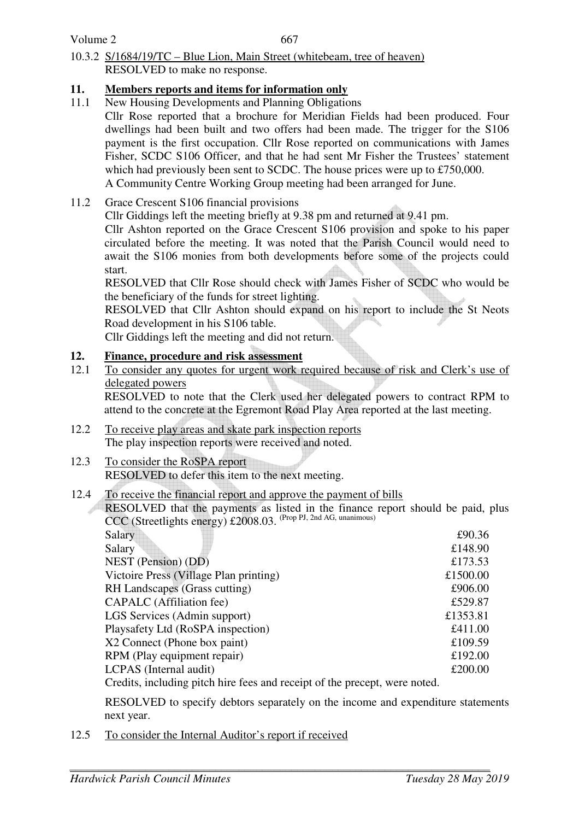Volume 2

667

10.3.2 S/1684/19/TC – Blue Lion, Main Street (whitebeam, tree of heaven) RESOLVED to make no response.

# **11. Members reports and items for information only**

- 11.1 New Housing Developments and Planning Obligations
	- Cllr Rose reported that a brochure for Meridian Fields had been produced. Four dwellings had been built and two offers had been made. The trigger for the S106 payment is the first occupation. Cllr Rose reported on communications with James Fisher, SCDC S106 Officer, and that he had sent Mr Fisher the Trustees' statement which had previously been sent to SCDC. The house prices were up to £750,000. A Community Centre Working Group meeting had been arranged for June.
- 11.2 Grace Crescent S106 financial provisions
	- Cllr Giddings left the meeting briefly at 9.38 pm and returned at 9.41 pm.

Cllr Ashton reported on the Grace Crescent S106 provision and spoke to his paper circulated before the meeting. It was noted that the Parish Council would need to await the S106 monies from both developments before some of the projects could start.

RESOLVED that Cllr Rose should check with James Fisher of SCDC who would be the beneficiary of the funds for street lighting.

RESOLVED that Cllr Ashton should expand on his report to include the St Neots Road development in his S106 table.

Cllr Giddings left the meeting and did not return.

# **12. Finance, procedure and risk assessment**

12.1 To consider any quotes for urgent work required because of risk and Clerk's use of delegated powers

 RESOLVED to note that the Clerk used her delegated powers to contract RPM to attend to the concrete at the Egremont Road Play Area reported at the last meeting.

- 12.2 To receive play areas and skate park inspection reports The play inspection reports were received and noted.
- 12.3 To consider the RoSPA report RESOLVED to defer this item to the next meeting.

## 12.4 To receive the financial report and approve the payment of bills

RESOLVED that the payments as listed in the finance report should be paid, plus CCC (Streetlights energy) £2008.03. (Prop PJ, 2nd AG, unanimous)

| Salary                                                                   | £90.36   |
|--------------------------------------------------------------------------|----------|
| Salary                                                                   | £148.90  |
| <b>NEST</b> (Pension) (DD)                                               | £173.53  |
| Victoire Press (Village Plan printing)                                   | £1500.00 |
| RH Landscapes (Grass cutting)                                            | £906.00  |
| CAPALC (Affiliation fee)                                                 | £529.87  |
| LGS Services (Admin support)                                             | £1353.81 |
| Playsafety Ltd (RoSPA inspection)                                        | £411.00  |
| X2 Connect (Phone box paint)                                             | £109.59  |
| RPM (Play equipment repair)                                              | £192.00  |
| <b>LCPAS</b> (Internal audit)                                            | £200.00  |
| Credits, including pitch hire fees and receipt of the precent were noted |          |

Credits, including pitch hire fees and receipt of the precept, were noted.

RESOLVED to specify debtors separately on the income and expenditure statements next year.

12.5 To consider the Internal Auditor's report if received